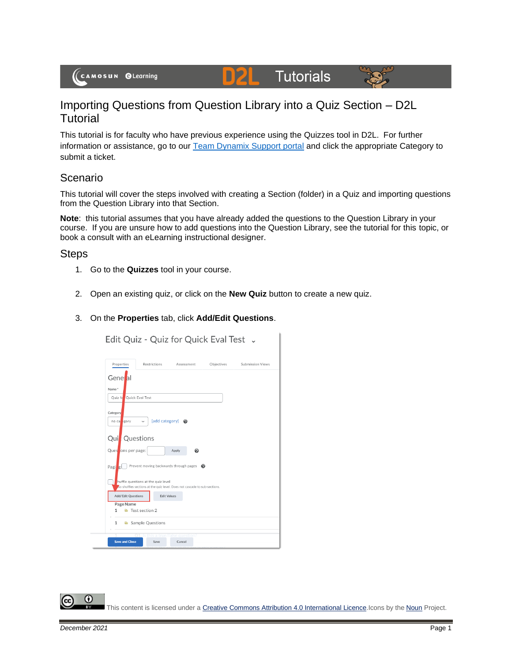# **Tutorials**



# Importing Questions from Question Library into a Quiz Section – D2L Tutorial

DZI

This tutorial is for faculty who have previous experience using the Quizzes tool in D2L. For further information or assistance, go to our [Team Dynamix Support portal](https://camosun.teamdynamix.com/TDClient/67/Portal/Requests/ServiceCatalog?CategoryID=523) and click the appropriate Category to submit a ticket.

## Scenario

This tutorial will cover the steps involved with creating a Section (folder) in a Quiz and importing questions from the Question Library into that Section.

**Note**: this tutorial assumes that you have already added the questions to the Question Library in your course. If you are unsure how to add questions into the Question Library, see the tutorial for this topic, or book a consult with an eLearning instructional designer.

### Steps

- 1. Go to the **Quizzes** tool in your course.
- 2. Open an existing quiz, or click on the **New Quiz** button to create a new quiz.

#### 3. On the **Properties** tab, click **Add/Edit Questions**.

Edit Quiz - Quiz for Quick Eval Test .

Properties Restrictions Objectives Submission Views Gene al Name Quick Eval Test Quiz Catego no c ory  $\vee$  [add category]  $\bigcirc$ Quil Questions Ques ons per page: Apply  $\Box$  Prevent moving backwards through pages  $\bigcirc$ Pagi iffle questions at the quiz level ons at the quiz level. Does not cascade to sub-sections Add/Edit Questions Edit Values Page Name Test section 2  $1$ 1 C Sample Questions Save Cancel Save and Close

⋒ This content is licensed under [a Creative Commons Attribution 4.0 International Licence.I](https://creativecommons.org/licenses/by/4.0/)cons by the [Noun](https://creativecommons.org/website-icons/) Project.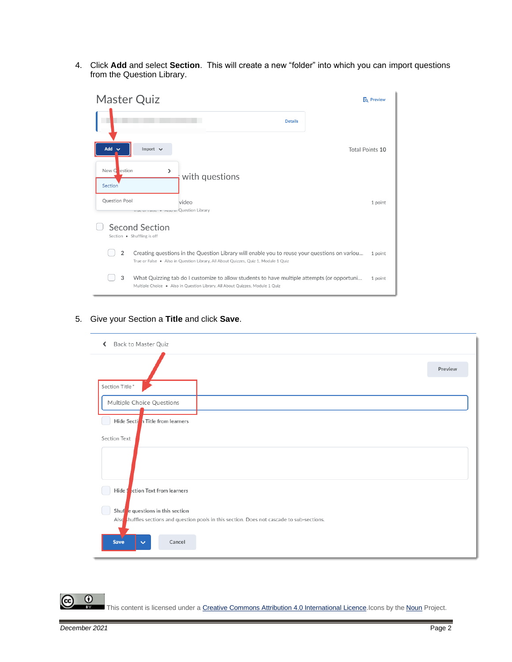4. Click **Add** and select **Section**. This will create a new "folder" into which you can import questions from the Question Library.



#### 5. Give your Section a **Title** and click **Save**.



⋒ This content is licensed under [a Creative Commons Attribution 4.0 International Licence.I](https://creativecommons.org/licenses/by/4.0/)cons by the [Noun](https://creativecommons.org/website-icons/) Project.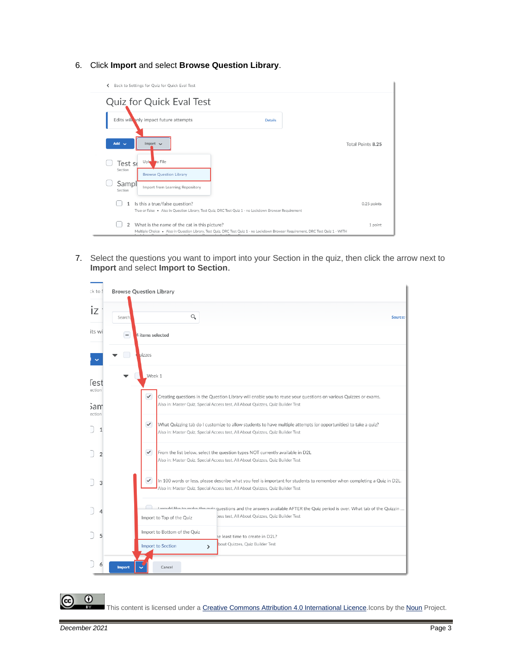#### 6. Click **Import** and select **Browse Question Library**.



7. Select the questions you want to import into your Section in the quiz, then click the arrow next to **Import** and select **Import to Section**.

| ck to 9                 | <b>Browse Question Library</b>                                                                                                                                                                                              |  |  |  |  |  |  |
|-------------------------|-----------------------------------------------------------------------------------------------------------------------------------------------------------------------------------------------------------------------------|--|--|--|--|--|--|
| IZ                      | Q<br>Search!<br>Source:                                                                                                                                                                                                     |  |  |  |  |  |  |
| its wi                  | 4 items selected<br>-                                                                                                                                                                                                       |  |  |  |  |  |  |
|                         | uizzes                                                                                                                                                                                                                      |  |  |  |  |  |  |
| <b>Test</b>             | Week 1                                                                                                                                                                                                                      |  |  |  |  |  |  |
| ection<br>sam<br>ection | $\checkmark$<br>Creating questions in the Question Library will enable you to reuse your questions on various Quizzes or exams.<br>Also in: Master Quiz, Special Access test, All About Quizzes, Quiz Builder Test          |  |  |  |  |  |  |
|                         | $\checkmark$<br>What Quizzing tab do I customize to allow students to have multiple attempts (or opportunities) to take a quiz?<br>Also in: Master Quiz, Special Access test, All About Quizzes, Quiz Builder Test          |  |  |  |  |  |  |
|                         | $\checkmark$<br>From the list below, select the question types NOT currently available in D2L<br>Also in: Master Quiz, Special Access test, All About Quizzes, Quiz Builder Test                                            |  |  |  |  |  |  |
| 3                       | $\checkmark$<br>In 100 words or less, please describe what you feel is important for students to remember when completing a Quiz in D2L.<br>Also in: Master Quiz, Special Access test, All About Quizzes, Quiz Builder Test |  |  |  |  |  |  |
|                         | guestions and the answers available AFTER the Quiz period is over. What tab of the Quizzin  مغ مانا اماليصيد التصميم<br>tess test, All About Quizzes, Quiz Builder Test<br>Import to Top of the Quiz                        |  |  |  |  |  |  |
| 5                       | Import to Bottom of the Quiz<br>he least time to create in D2L?<br>bout Quizzes, Quiz Builder Test<br>Import to Section                                                                                                     |  |  |  |  |  |  |
|                         | $\rightarrow$<br>Cancel<br><b>Import</b>                                                                                                                                                                                    |  |  |  |  |  |  |

 $\odot$ 

This content is licensed under [a Creative Commons Attribution 4.0 International Licence.I](https://creativecommons.org/licenses/by/4.0/)cons by the [Noun](https://creativecommons.org/website-icons/) Project.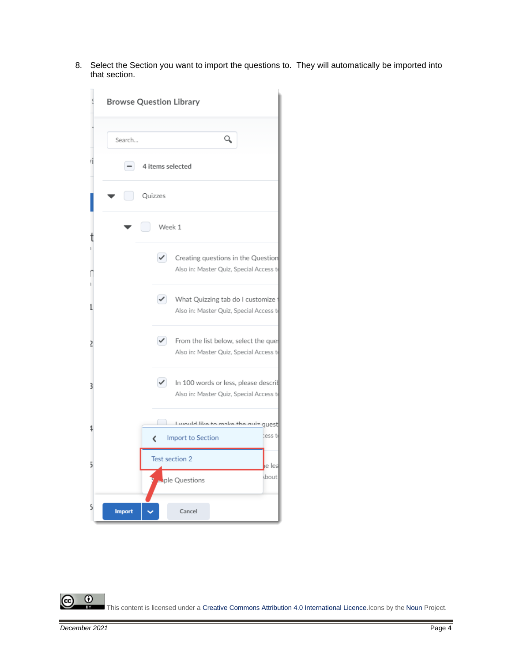8. Select the Section you want to import the questions to. They will automatically be imported into that section.



 $\odot$ This content is licensed under [a Creative Commons Attribution 4.0 International Licence.I](https://creativecommons.org/licenses/by/4.0/)cons by the [Noun](https://creativecommons.org/website-icons/) Project.